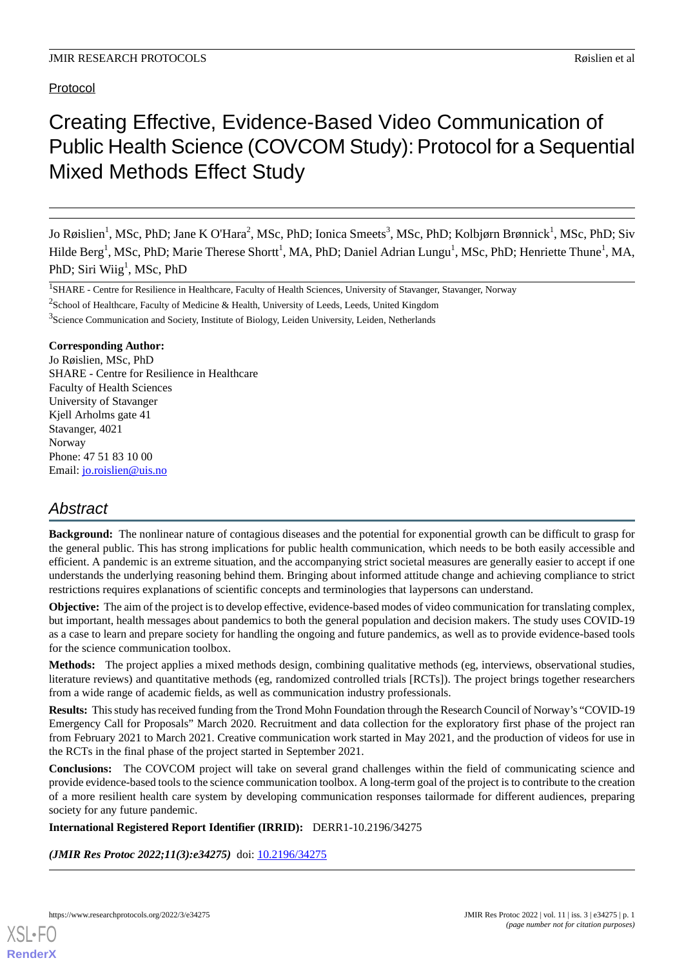Protocol

# Creating Effective, Evidence-Based Video Communication of Public Health Science (COVCOM Study): Protocol for a Sequential Mixed Methods Effect Study

Jo Røislien<sup>1</sup>, MSc, PhD; Jane K O'Hara<sup>2</sup>, MSc, PhD; Ionica Smeets<sup>3</sup>, MSc, PhD; Kolbjørn Brønnick<sup>1</sup>, MSc, PhD; Siv Hilde Berg<sup>1</sup>, MSc, PhD; Marie Therese Shortt<sup>1</sup>, MA, PhD; Daniel Adrian Lungu<sup>1</sup>, MSc, PhD; Henriette Thune<sup>1</sup>, MA, PhD; Siri Wiig $^1$ , MSc, PhD

<sup>1</sup>SHARE - Centre for Resilience in Healthcare, Faculty of Health Sciences, University of Stavanger, Stavanger, Norway <sup>2</sup>School of Healthcare, Faculty of Medicine & Health, University of Leeds, Leeds, United Kingdom <sup>3</sup>Science Communication and Society, Institute of Biology, Leiden University, Leiden, Netherlands

#### **Corresponding Author:**

Jo Røislien, MSc, PhD SHARE - Centre for Resilience in Healthcare Faculty of Health Sciences University of Stavanger Kjell Arholms gate 41 Stavanger, 4021 Norway Phone: 47 51 83 10 00 Email: [jo.roislien@uis.no](mailto:jo.roislien@uis.no)

# *Abstract*

**Background:** The nonlinear nature of contagious diseases and the potential for exponential growth can be difficult to grasp for the general public. This has strong implications for public health communication, which needs to be both easily accessible and efficient. A pandemic is an extreme situation, and the accompanying strict societal measures are generally easier to accept if one understands the underlying reasoning behind them. Bringing about informed attitude change and achieving compliance to strict restrictions requires explanations of scientific concepts and terminologies that laypersons can understand.

**Objective:** The aim of the project is to develop effective, evidence-based modes of video communication for translating complex, but important, health messages about pandemics to both the general population and decision makers. The study uses COVID-19 as a case to learn and prepare society for handling the ongoing and future pandemics, as well as to provide evidence-based tools for the science communication toolbox.

**Methods:** The project applies a mixed methods design, combining qualitative methods (eg, interviews, observational studies, literature reviews) and quantitative methods (eg, randomized controlled trials [RCTs]). The project brings together researchers from a wide range of academic fields, as well as communication industry professionals.

**Results:** This study has received funding from the Trond Mohn Foundation through the Research Council of Norway's "COVID-19 Emergency Call for Proposals" March 2020. Recruitment and data collection for the exploratory first phase of the project ran from February 2021 to March 2021. Creative communication work started in May 2021, and the production of videos for use in the RCTs in the final phase of the project started in September 2021.

**Conclusions:** The COVCOM project will take on several grand challenges within the field of communicating science and provide evidence-based tools to the science communication toolbox. A long-term goal of the project is to contribute to the creation of a more resilient health care system by developing communication responses tailormade for different audiences, preparing society for any future pandemic.

#### **International Registered Report Identifier (IRRID):** DERR1-10.2196/34275

*(JMIR Res Protoc 2022;11(3):e34275)* doi: [10.2196/34275](http://dx.doi.org/10.2196/34275)

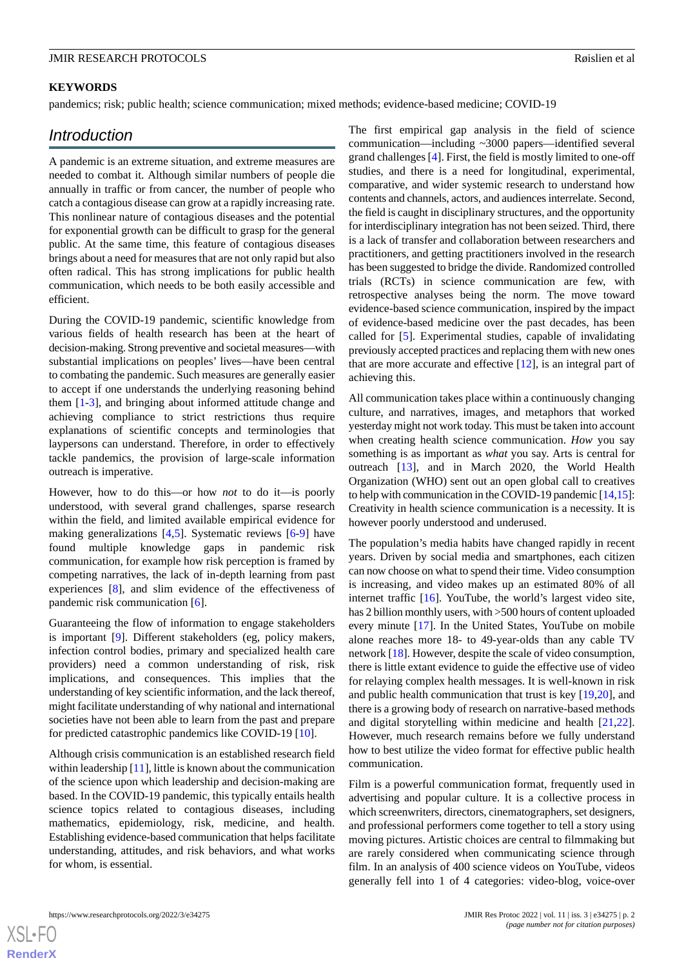#### **KEYWORDS**

pandemics; risk; public health; science communication; mixed methods; evidence-based medicine; COVID-19

### *Introduction*

A pandemic is an extreme situation, and extreme measures are needed to combat it. Although similar numbers of people die annually in traffic or from cancer, the number of people who catch a contagious disease can grow at a rapidly increasing rate. This nonlinear nature of contagious diseases and the potential for exponential growth can be difficult to grasp for the general public. At the same time, this feature of contagious diseases brings about a need for measures that are not only rapid but also often radical. This has strong implications for public health communication, which needs to be both easily accessible and efficient.

During the COVID-19 pandemic, scientific knowledge from various fields of health research has been at the heart of decision-making. Strong preventive and societal measures—with substantial implications on peoples' lives—have been central to combating the pandemic. Such measures are generally easier to accept if one understands the underlying reasoning behind them [\[1](#page-6-0)-[3](#page-6-1)], and bringing about informed attitude change and achieving compliance to strict restrictions thus require explanations of scientific concepts and terminologies that laypersons can understand. Therefore, in order to effectively tackle pandemics, the provision of large-scale information outreach is imperative.

However, how to do this—or how *not* to do it—is poorly understood, with several grand challenges, sparse research within the field, and limited available empirical evidence for making generalizations [\[4](#page-6-2),[5\]](#page-6-3). Systematic reviews [\[6-](#page-6-4)[9\]](#page-6-5) have found multiple knowledge gaps in pandemic risk communication, for example how risk perception is framed by competing narratives, the lack of in-depth learning from past experiences [[8\]](#page-6-6), and slim evidence of the effectiveness of pandemic risk communication [\[6](#page-6-4)].

Guaranteeing the flow of information to engage stakeholders is important [\[9\]](#page-6-5). Different stakeholders (eg, policy makers, infection control bodies, primary and specialized health care providers) need a common understanding of risk, risk implications, and consequences. This implies that the understanding of key scientific information, and the lack thereof, might facilitate understanding of why national and international societies have not been able to learn from the past and prepare for predicted catastrophic pandemics like COVID-19 [\[10](#page-6-7)].

Although crisis communication is an established research field within leadership [\[11](#page-7-0)], little is known about the communication of the science upon which leadership and decision-making are based. In the COVID-19 pandemic, this typically entails health science topics related to contagious diseases, including mathematics, epidemiology, risk, medicine, and health. Establishing evidence-based communication that helps facilitate understanding, attitudes, and risk behaviors, and what works for whom, is essential.

The first empirical gap analysis in the field of science communication—including ~3000 papers—identified several grand challenges [[4\]](#page-6-2). First, the field is mostly limited to one-off studies, and there is a need for longitudinal, experimental, comparative, and wider systemic research to understand how contents and channels, actors, and audiences interrelate. Second, the field is caught in disciplinary structures, and the opportunity for interdisciplinary integration has not been seized. Third, there is a lack of transfer and collaboration between researchers and practitioners, and getting practitioners involved in the research has been suggested to bridge the divide. Randomized controlled trials (RCTs) in science communication are few, with retrospective analyses being the norm. The move toward evidence-based science communication, inspired by the impact of evidence-based medicine over the past decades, has been called for [[5\]](#page-6-3). Experimental studies, capable of invalidating previously accepted practices and replacing them with new ones that are more accurate and effective [\[12](#page-7-1)], is an integral part of achieving this.

All communication takes place within a continuously changing culture, and narratives, images, and metaphors that worked yesterday might not work today. This must be taken into account when creating health science communication. *How* you say something is as important as *what* you say. Arts is central for outreach [\[13](#page-7-2)], and in March 2020, the World Health Organization (WHO) sent out an open global call to creatives to help with communication in the COVID-19 pandemic [[14,](#page-7-3)[15\]](#page-7-4): Creativity in health science communication is a necessity. It is however poorly understood and underused.

The population's media habits have changed rapidly in recent years. Driven by social media and smartphones, each citizen can now choose on what to spend their time. Video consumption is increasing, and video makes up an estimated 80% of all internet traffic [[16\]](#page-7-5). YouTube, the world's largest video site, has 2 billion monthly users, with >500 hours of content uploaded every minute [[17\]](#page-7-6). In the United States, YouTube on mobile alone reaches more 18- to 49-year-olds than any cable TV network [\[18](#page-7-7)]. However, despite the scale of video consumption, there is little extant evidence to guide the effective use of video for relaying complex health messages. It is well-known in risk and public health communication that trust is key [\[19](#page-7-8),[20\]](#page-7-9), and there is a growing body of research on narrative-based methods and digital storytelling within medicine and health [\[21](#page-7-10),[22\]](#page-7-11). However, much research remains before we fully understand how to best utilize the video format for effective public health communication.

Film is a powerful communication format, frequently used in advertising and popular culture. It is a collective process in which screenwriters, directors, cinematographers, set designers, and professional performers come together to tell a story using moving pictures. Artistic choices are central to filmmaking but are rarely considered when communicating science through film. In an analysis of 400 science videos on YouTube, videos generally fell into 1 of 4 categories: video-blog, voice-over

 $XS$ -FO **[RenderX](http://www.renderx.com/)**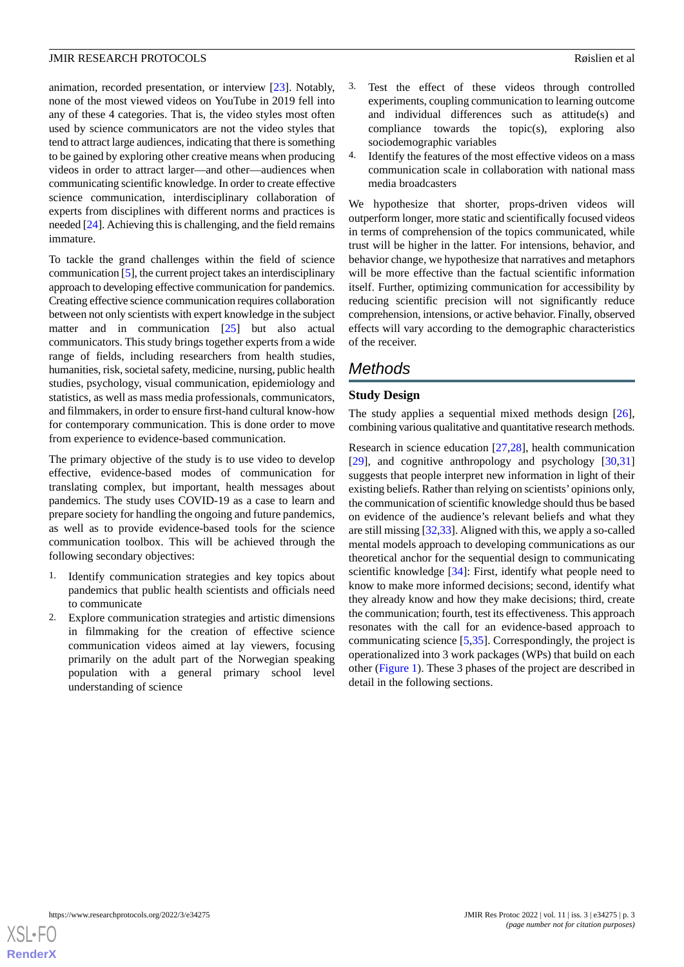animation, recorded presentation, or interview [\[23](#page-7-12)]. Notably, none of the most viewed videos on YouTube in 2019 fell into any of these 4 categories. That is, the video styles most often used by science communicators are not the video styles that tend to attract large audiences, indicating that there is something to be gained by exploring other creative means when producing videos in order to attract larger—and other—audiences when communicating scientific knowledge. In order to create effective science communication, interdisciplinary collaboration of experts from disciplines with different norms and practices is needed [[24\]](#page-7-13). Achieving this is challenging, and the field remains immature.

To tackle the grand challenges within the field of science communication [[5\]](#page-6-3), the current project takes an interdisciplinary approach to developing effective communication for pandemics. Creating effective science communication requires collaboration between not only scientists with expert knowledge in the subject matter and in communication [[25\]](#page-7-14) but also actual communicators. This study brings together experts from a wide range of fields, including researchers from health studies, humanities, risk, societal safety, medicine, nursing, public health studies, psychology, visual communication, epidemiology and statistics, as well as mass media professionals, communicators, and filmmakers, in order to ensure first-hand cultural know-how for contemporary communication. This is done order to move from experience to evidence-based communication.

The primary objective of the study is to use video to develop effective, evidence-based modes of communication for translating complex, but important, health messages about pandemics. The study uses COVID-19 as a case to learn and prepare society for handling the ongoing and future pandemics, as well as to provide evidence-based tools for the science communication toolbox. This will be achieved through the following secondary objectives:

- 1. Identify communication strategies and key topics about pandemics that public health scientists and officials need to communicate
- 2. Explore communication strategies and artistic dimensions in filmmaking for the creation of effective science communication videos aimed at lay viewers, focusing primarily on the adult part of the Norwegian speaking population with a general primary school level understanding of science
- 3. Test the effect of these videos through controlled experiments, coupling communication to learning outcome and individual differences such as attitude(s) and compliance towards the topic(s), exploring also sociodemographic variables
- 4. Identify the features of the most effective videos on a mass communication scale in collaboration with national mass media broadcasters

We hypothesize that shorter, props-driven videos will outperform longer, more static and scientifically focused videos in terms of comprehension of the topics communicated, while trust will be higher in the latter. For intensions, behavior, and behavior change, we hypothesize that narratives and metaphors will be more effective than the factual scientific information itself. Further, optimizing communication for accessibility by reducing scientific precision will not significantly reduce comprehension, intensions, or active behavior. Finally, observed effects will vary according to the demographic characteristics of the receiver.

# *Methods*

### **Study Design**

The study applies a sequential mixed methods design [[26\]](#page-7-15), combining various qualitative and quantitative research methods.

Research in science education [[27,](#page-7-16)[28](#page-7-17)], health communication [[29\]](#page-7-18), and cognitive anthropology and psychology [[30](#page-7-19)[,31](#page-7-20)] suggests that people interpret new information in light of their existing beliefs. Rather than relying on scientists'opinions only, the communication of scientific knowledge should thus be based on evidence of the audience's relevant beliefs and what they are still missing [[32,](#page-7-21)[33\]](#page-7-22). Aligned with this, we apply a so-called mental models approach to developing communications as our theoretical anchor for the sequential design to communicating scientific knowledge [\[34](#page-7-23)]: First, identify what people need to know to make more informed decisions; second, identify what they already know and how they make decisions; third, create the communication; fourth, test its effectiveness. This approach resonates with the call for an evidence-based approach to communicating science [[5,](#page-6-3)[35](#page-7-24)]. Correspondingly, the project is operationalized into 3 work packages (WPs) that build on each other ([Figure 1](#page-3-0)). These 3 phases of the project are described in detail in the following sections.

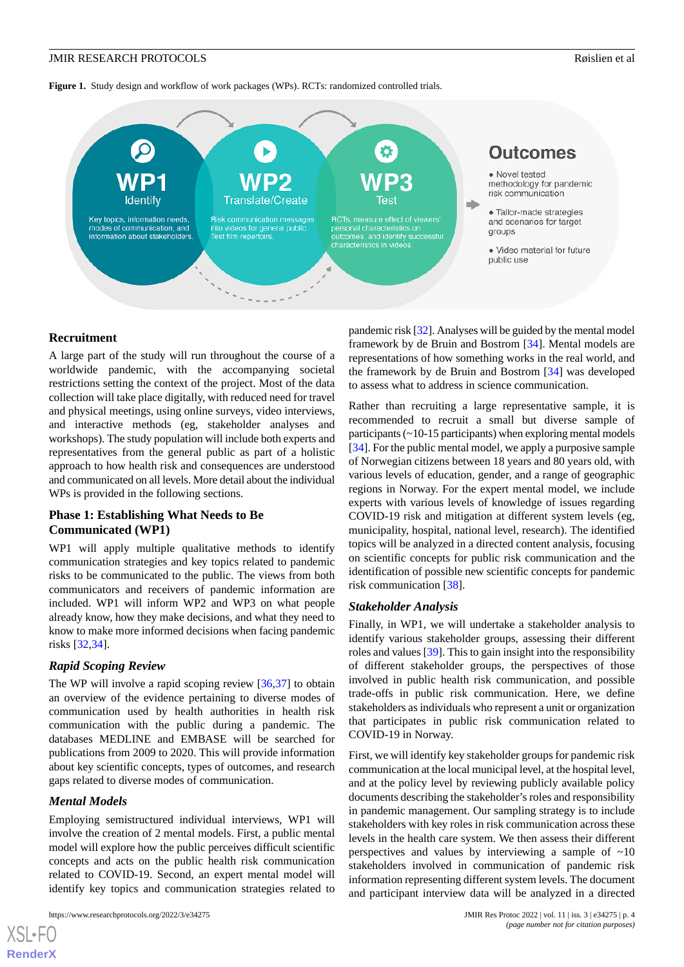<span id="page-3-0"></span>**Figure 1.** Study design and workflow of work packages (WPs). RCTs: randomized controlled trials.



#### **Recruitment**

A large part of the study will run throughout the course of a worldwide pandemic, with the accompanying societal restrictions setting the context of the project. Most of the data collection will take place digitally, with reduced need for travel and physical meetings, using online surveys, video interviews, and interactive methods (eg, stakeholder analyses and workshops). The study population will include both experts and representatives from the general public as part of a holistic approach to how health risk and consequences are understood and communicated on all levels. More detail about the individual WPs is provided in the following sections.

#### **Phase 1: Establishing What Needs to Be Communicated (WP1)**

WP1 will apply multiple qualitative methods to identify communication strategies and key topics related to pandemic risks to be communicated to the public. The views from both communicators and receivers of pandemic information are included. WP1 will inform WP2 and WP3 on what people already know, how they make decisions, and what they need to know to make more informed decisions when facing pandemic risks [\[32](#page-7-21),[34\]](#page-7-23).

#### *Rapid Scoping Review*

The WP will involve a rapid scoping review [\[36](#page-7-25),[37\]](#page-7-26) to obtain an overview of the evidence pertaining to diverse modes of communication used by health authorities in health risk communication with the public during a pandemic. The databases MEDLINE and EMBASE will be searched for publications from 2009 to 2020. This will provide information about key scientific concepts, types of outcomes, and research gaps related to diverse modes of communication.

#### *Mental Models*

[XSL](http://www.w3.org/Style/XSL)•FO **[RenderX](http://www.renderx.com/)**

Employing semistructured individual interviews, WP1 will involve the creation of 2 mental models. First, a public mental model will explore how the public perceives difficult scientific concepts and acts on the public health risk communication related to COVID-19. Second, an expert mental model will identify key topics and communication strategies related to

pandemic risk [\[32\]](#page-7-21). Analyses will be guided by the mental model framework by de Bruin and Bostrom [[34\]](#page-7-23). Mental models are representations of how something works in the real world, and the framework by de Bruin and Bostrom [[34\]](#page-7-23) was developed to assess what to address in science communication.

Rather than recruiting a large representative sample, it is recommended to recruit a small but diverse sample of participants (~10-15 participants) when exploring mental models [[34\]](#page-7-23). For the public mental model, we apply a purposive sample of Norwegian citizens between 18 years and 80 years old, with various levels of education, gender, and a range of geographic regions in Norway. For the expert mental model, we include experts with various levels of knowledge of issues regarding COVID-19 risk and mitigation at different system levels (eg, municipality, hospital, national level, research). The identified topics will be analyzed in a directed content analysis, focusing on scientific concepts for public risk communication and the identification of possible new scientific concepts for pandemic risk communication [\[38](#page-7-27)].

#### *Stakeholder Analysis*

Finally, in WP1, we will undertake a stakeholder analysis to identify various stakeholder groups, assessing their different roles and values [[39\]](#page-7-28). This to gain insight into the responsibility of different stakeholder groups, the perspectives of those involved in public health risk communication, and possible trade-offs in public risk communication. Here, we define stakeholders as individuals who represent a unit or organization that participates in public risk communication related to COVID-19 in Norway.

First, we will identify key stakeholder groups for pandemic risk communication at the local municipal level, at the hospital level, and at the policy level by reviewing publicly available policy documents describing the stakeholder's roles and responsibility in pandemic management. Our sampling strategy is to include stakeholders with key roles in risk communication across these levels in the health care system. We then assess their different perspectives and values by interviewing a sample of  $\sim 10$ stakeholders involved in communication of pandemic risk information representing different system levels. The document and participant interview data will be analyzed in a directed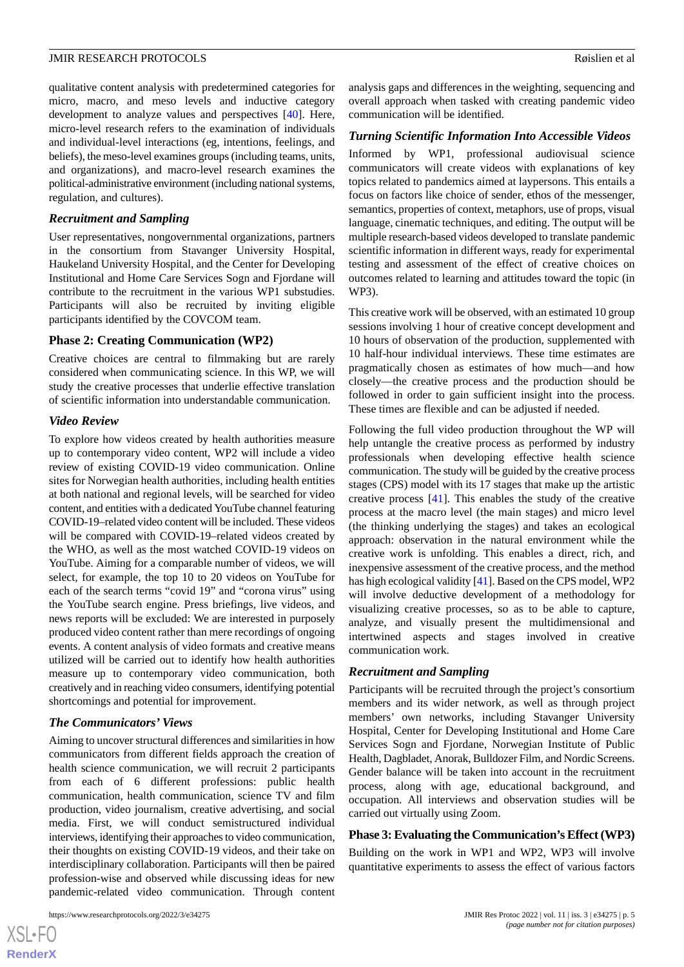qualitative content analysis with predetermined categories for micro, macro, and meso levels and inductive category development to analyze values and perspectives [[40\]](#page-8-0). Here, micro-level research refers to the examination of individuals and individual-level interactions (eg, intentions, feelings, and beliefs), the meso-level examines groups (including teams, units, and organizations), and macro-level research examines the political-administrative environment (including national systems, regulation, and cultures).

#### *Recruitment and Sampling*

User representatives, nongovernmental organizations, partners in the consortium from Stavanger University Hospital, Haukeland University Hospital, and the Center for Developing Institutional and Home Care Services Sogn and Fjordane will contribute to the recruitment in the various WP1 substudies. Participants will also be recruited by inviting eligible participants identified by the COVCOM team.

#### **Phase 2: Creating Communication (WP2)**

Creative choices are central to filmmaking but are rarely considered when communicating science. In this WP, we will study the creative processes that underlie effective translation of scientific information into understandable communication.

#### *Video Review*

To explore how videos created by health authorities measure up to contemporary video content, WP2 will include a video review of existing COVID-19 video communication. Online sites for Norwegian health authorities, including health entities at both national and regional levels, will be searched for video content, and entities with a dedicated YouTube channel featuring COVID-19–related video content will be included. These videos will be compared with COVID-19–related videos created by the WHO, as well as the most watched COVID-19 videos on YouTube. Aiming for a comparable number of videos, we will select, for example, the top 10 to 20 videos on YouTube for each of the search terms "covid 19" and "corona virus" using the YouTube search engine. Press briefings, live videos, and news reports will be excluded: We are interested in purposely produced video content rather than mere recordings of ongoing events. A content analysis of video formats and creative means utilized will be carried out to identify how health authorities measure up to contemporary video communication, both creatively and in reaching video consumers, identifying potential shortcomings and potential for improvement.

#### *The Communicators' Views*

Aiming to uncover structural differences and similarities in how communicators from different fields approach the creation of health science communication, we will recruit 2 participants from each of 6 different professions: public health communication, health communication, science TV and film production, video journalism, creative advertising, and social media. First, we will conduct semistructured individual interviews, identifying their approaches to video communication, their thoughts on existing COVID-19 videos, and their take on interdisciplinary collaboration. Participants will then be paired profession-wise and observed while discussing ideas for new pandemic-related video communication. Through content

[XSL](http://www.w3.org/Style/XSL)•FO **[RenderX](http://www.renderx.com/)**

analysis gaps and differences in the weighting, sequencing and overall approach when tasked with creating pandemic video communication will be identified.

#### *Turning Scientific Information Into Accessible Videos*

Informed by WP1, professional audiovisual science communicators will create videos with explanations of key topics related to pandemics aimed at laypersons. This entails a focus on factors like choice of sender, ethos of the messenger, semantics, properties of context, metaphors, use of props, visual language, cinematic techniques, and editing. The output will be multiple research-based videos developed to translate pandemic scientific information in different ways, ready for experimental testing and assessment of the effect of creative choices on outcomes related to learning and attitudes toward the topic (in WP3).

This creative work will be observed, with an estimated 10 group sessions involving 1 hour of creative concept development and 10 hours of observation of the production, supplemented with 10 half-hour individual interviews. These time estimates are pragmatically chosen as estimates of how much—and how closely—the creative process and the production should be followed in order to gain sufficient insight into the process. These times are flexible and can be adjusted if needed.

Following the full video production throughout the WP will help untangle the creative process as performed by industry professionals when developing effective health science communication. The study will be guided by the creative process stages (CPS) model with its 17 stages that make up the artistic creative process [\[41](#page-8-1)]. This enables the study of the creative process at the macro level (the main stages) and micro level (the thinking underlying the stages) and takes an ecological approach: observation in the natural environment while the creative work is unfolding. This enables a direct, rich, and inexpensive assessment of the creative process, and the method has high ecological validity [\[41](#page-8-1)]. Based on the CPS model, WP2 will involve deductive development of a methodology for visualizing creative processes, so as to be able to capture, analyze, and visually present the multidimensional and intertwined aspects and stages involved in creative communication work.

#### *Recruitment and Sampling*

Participants will be recruited through the project's consortium members and its wider network, as well as through project members' own networks, including Stavanger University Hospital, Center for Developing Institutional and Home Care Services Sogn and Fjordane, Norwegian Institute of Public Health, Dagbladet, Anorak, Bulldozer Film, and Nordic Screens. Gender balance will be taken into account in the recruitment process, along with age, educational background, and occupation. All interviews and observation studies will be carried out virtually using Zoom.

#### **Phase 3: Evaluating the Communication's Effect (WP3)**

Building on the work in WP1 and WP2, WP3 will involve quantitative experiments to assess the effect of various factors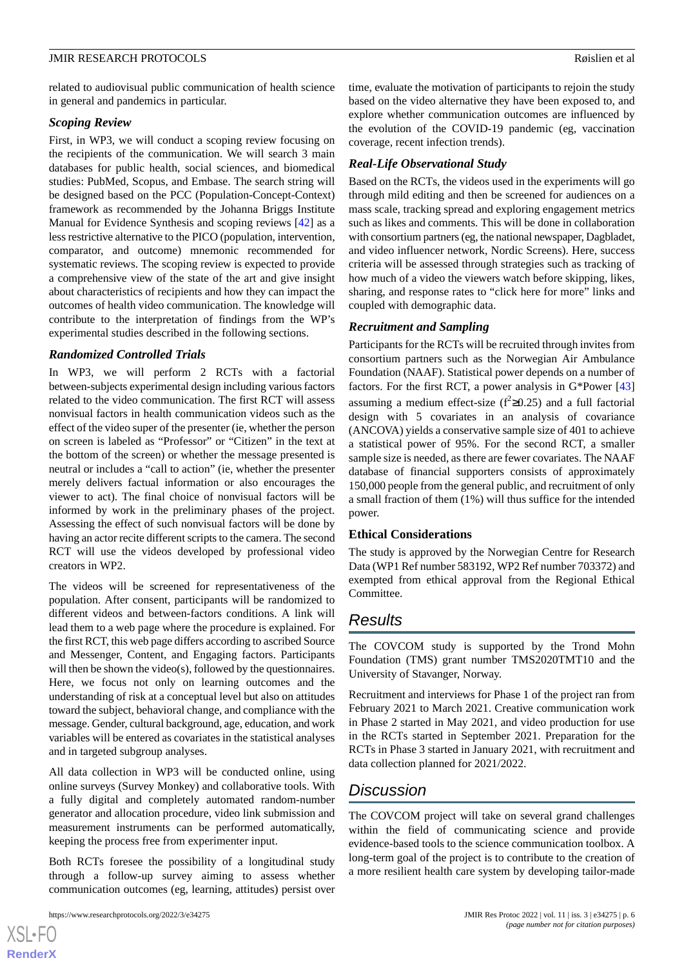related to audiovisual public communication of health science in general and pandemics in particular.

#### *Scoping Review*

First, in WP3, we will conduct a scoping review focusing on the recipients of the communication. We will search 3 main databases for public health, social sciences, and biomedical studies: PubMed, Scopus, and Embase. The search string will be designed based on the PCC (Population-Concept-Context) framework as recommended by the Johanna Briggs Institute Manual for Evidence Synthesis and scoping reviews [[42\]](#page-8-2) as a less restrictive alternative to the PICO (population, intervention, comparator, and outcome) mnemonic recommended for systematic reviews. The scoping review is expected to provide a comprehensive view of the state of the art and give insight about characteristics of recipients and how they can impact the outcomes of health video communication. The knowledge will contribute to the interpretation of findings from the WP's experimental studies described in the following sections.

#### *Randomized Controlled Trials*

In WP3, we will perform 2 RCTs with a factorial between-subjects experimental design including various factors related to the video communication. The first RCT will assess nonvisual factors in health communication videos such as the effect of the video super of the presenter (ie, whether the person on screen is labeled as "Professor" or "Citizen" in the text at the bottom of the screen) or whether the message presented is neutral or includes a "call to action" (ie, whether the presenter merely delivers factual information or also encourages the viewer to act). The final choice of nonvisual factors will be informed by work in the preliminary phases of the project. Assessing the effect of such nonvisual factors will be done by having an actor recite different scripts to the camera. The second RCT will use the videos developed by professional video creators in WP2.

The videos will be screened for representativeness of the population. After consent, participants will be randomized to different videos and between-factors conditions. A link will lead them to a web page where the procedure is explained. For the first RCT, this web page differs according to ascribed Source and Messenger, Content, and Engaging factors. Participants will then be shown the video(s), followed by the questionnaires. Here, we focus not only on learning outcomes and the understanding of risk at a conceptual level but also on attitudes toward the subject, behavioral change, and compliance with the message. Gender, cultural background, age, education, and work variables will be entered as covariates in the statistical analyses and in targeted subgroup analyses.

All data collection in WP3 will be conducted online, using online surveys (Survey Monkey) and collaborative tools. With a fully digital and completely automated random-number generator and allocation procedure, video link submission and measurement instruments can be performed automatically, keeping the process free from experimenter input.

Both RCTs foresee the possibility of a longitudinal study through a follow-up survey aiming to assess whether communication outcomes (eg, learning, attitudes) persist over

 $XS$ -FO **[RenderX](http://www.renderx.com/)** time, evaluate the motivation of participants to rejoin the study based on the video alternative they have been exposed to, and explore whether communication outcomes are influenced by the evolution of the COVID-19 pandemic (eg, vaccination coverage, recent infection trends).

#### *Real-Life Observational Study*

Based on the RCTs, the videos used in the experiments will go through mild editing and then be screened for audiences on a mass scale, tracking spread and exploring engagement metrics such as likes and comments. This will be done in collaboration with consortium partners (eg, the national newspaper, Dagbladet, and video influencer network, Nordic Screens). Here, success criteria will be assessed through strategies such as tracking of how much of a video the viewers watch before skipping, likes, sharing, and response rates to "click here for more" links and coupled with demographic data.

#### *Recruitment and Sampling*

Participants for the RCTs will be recruited through invites from consortium partners such as the Norwegian Air Ambulance Foundation (NAAF). Statistical power depends on a number of factors. For the first RCT, a power analysis in G\*Power [\[43](#page-8-3)] assuming a medium effect-size ( $f^2 \ge 0.25$ ) and a full factorial design with 5 covariates in an analysis of covariance (ANCOVA) yields a conservative sample size of 401 to achieve a statistical power of 95%. For the second RCT, a smaller sample size is needed, as there are fewer covariates. The NAAF database of financial supporters consists of approximately 150,000 people from the general public, and recruitment of only a small fraction of them (1%) will thus suffice for the intended power.

#### **Ethical Considerations**

The study is approved by the Norwegian Centre for Research Data (WP1 Ref number 583192, WP2 Ref number 703372) and exempted from ethical approval from the Regional Ethical Committee.

# *Results*

The COVCOM study is supported by the Trond Mohn Foundation (TMS) grant number TMS2020TMT10 and the University of Stavanger, Norway.

Recruitment and interviews for Phase 1 of the project ran from February 2021 to March 2021. Creative communication work in Phase 2 started in May 2021, and video production for use in the RCTs started in September 2021. Preparation for the RCTs in Phase 3 started in January 2021, with recruitment and data collection planned for 2021/2022.

# *Discussion*

The COVCOM project will take on several grand challenges within the field of communicating science and provide evidence-based tools to the science communication toolbox. A long-term goal of the project is to contribute to the creation of a more resilient health care system by developing tailor-made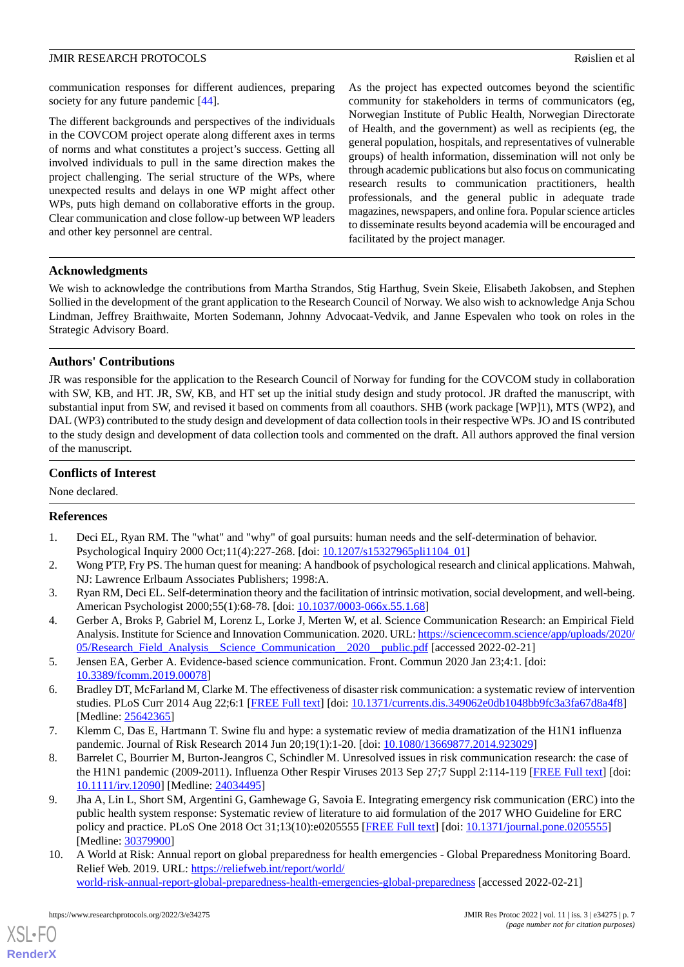communication responses for different audiences, preparing society for any future pandemic [\[44](#page-8-4)].

The different backgrounds and perspectives of the individuals in the COVCOM project operate along different axes in terms of norms and what constitutes a project's success. Getting all involved individuals to pull in the same direction makes the project challenging. The serial structure of the WPs, where unexpected results and delays in one WP might affect other WPs, puts high demand on collaborative efforts in the group. Clear communication and close follow-up between WP leaders and other key personnel are central.

As the project has expected outcomes beyond the scientific community for stakeholders in terms of communicators (eg, Norwegian Institute of Public Health, Norwegian Directorate of Health, and the government) as well as recipients (eg, the general population, hospitals, and representatives of vulnerable groups) of health information, dissemination will not only be through academic publications but also focus on communicating research results to communication practitioners, health professionals, and the general public in adequate trade magazines, newspapers, and online fora. Popular science articles to disseminate results beyond academia will be encouraged and facilitated by the project manager.

#### **Acknowledgments**

We wish to acknowledge the contributions from Martha Strandos, Stig Harthug, Svein Skeie, Elisabeth Jakobsen, and Stephen Sollied in the development of the grant application to the Research Council of Norway. We also wish to acknowledge Anja Schou Lindman, Jeffrey Braithwaite, Morten Sodemann, Johnny Advocaat-Vedvik, and Janne Espevalen who took on roles in the Strategic Advisory Board.

#### **Authors' Contributions**

JR was responsible for the application to the Research Council of Norway for funding for the COVCOM study in collaboration with SW, KB, and HT. JR, SW, KB, and HT set up the initial study design and study protocol. JR drafted the manuscript, with substantial input from SW, and revised it based on comments from all coauthors. SHB (work package [WP]1), MTS (WP2), and DAL (WP3) contributed to the study design and development of data collection tools in their respective WPs. JO and IS contributed to the study design and development of data collection tools and commented on the draft. All authors approved the final version of the manuscript.

#### **Conflicts of Interest**

<span id="page-6-0"></span>None declared.

#### **References**

- <span id="page-6-1"></span>1. Deci EL, Ryan RM. The "what" and "why" of goal pursuits: human needs and the self-determination of behavior. Psychological Inquiry 2000 Oct;11(4):227-268. [doi: [10.1207/s15327965pli1104\\_01\]](http://dx.doi.org/10.1207/s15327965pli1104_01)
- <span id="page-6-2"></span>2. Wong PTP, Fry PS. The human quest for meaning: A handbook of psychological research and clinical applications. Mahwah, NJ: Lawrence Erlbaum Associates Publishers; 1998:A.
- <span id="page-6-3"></span>3. Ryan RM, Deci EL. Self-determination theory and the facilitation of intrinsic motivation, social development, and well-being. American Psychologist 2000;55(1):68-78. [doi: [10.1037/0003-066x.55.1.68](http://dx.doi.org/10.1037/0003-066x.55.1.68)]
- <span id="page-6-4"></span>4. Gerber A, Broks P, Gabriel M, Lorenz L, Lorke J, Merten W, et al. Science Communication Research: an Empirical Field Analysis. Institute for Science and Innovation Communication. 2020. URL: [https://sciencecomm.science/app/uploads/2020/](https://sciencecomm.science/app/uploads/2020/05/Research_Field_Analysis__Science_Communication__2020__public.pdf) 05/Research\_Field\_Analysis\_Science\_Communication\_2020\_\_public.pdf [accessed 2022-02-21]
- 5. Jensen EA, Gerber A. Evidence-based science communication. Front. Commun 2020 Jan 23;4:1. [doi: [10.3389/fcomm.2019.00078](http://dx.doi.org/10.3389/fcomm.2019.00078)]
- <span id="page-6-6"></span>6. Bradley DT, McFarland M, Clarke M. The effectiveness of disaster risk communication: a systematic review of intervention studies. PLoS Curr 2014 Aug 22;6:1 [\[FREE Full text\]](https://doi.org/10.1371/currents.dis.349062e0db1048bb9fc3a3fa67d8a4f8) [doi: [10.1371/currents.dis.349062e0db1048bb9fc3a3fa67d8a4f8](http://dx.doi.org/10.1371/currents.dis.349062e0db1048bb9fc3a3fa67d8a4f8)] [Medline: [25642365](http://www.ncbi.nlm.nih.gov/entrez/query.fcgi?cmd=Retrieve&db=PubMed&list_uids=25642365&dopt=Abstract)]
- <span id="page-6-5"></span>7. Klemm C, Das E, Hartmann T. Swine flu and hype: a systematic review of media dramatization of the H1N1 influenza pandemic. Journal of Risk Research 2014 Jun 20;19(1):1-20. [doi: [10.1080/13669877.2014.923029](http://dx.doi.org/10.1080/13669877.2014.923029)]
- <span id="page-6-7"></span>8. Barrelet C, Bourrier M, Burton-Jeangros C, Schindler M. Unresolved issues in risk communication research: the case of the H1N1 pandemic (2009-2011). Influenza Other Respir Viruses 2013 Sep 27;7 Suppl 2:114-119 [\[FREE Full text\]](https://doi.org/10.1111/irv.12090) [doi: [10.1111/irv.12090\]](http://dx.doi.org/10.1111/irv.12090) [Medline: [24034495\]](http://www.ncbi.nlm.nih.gov/entrez/query.fcgi?cmd=Retrieve&db=PubMed&list_uids=24034495&dopt=Abstract)
- 9. Jha A, Lin L, Short SM, Argentini G, Gamhewage G, Savoia E. Integrating emergency risk communication (ERC) into the public health system response: Systematic review of literature to aid formulation of the 2017 WHO Guideline for ERC policy and practice. PLoS One 2018 Oct 31;13(10):e0205555 [\[FREE Full text\]](https://dx.plos.org/10.1371/journal.pone.0205555) [doi: [10.1371/journal.pone.0205555\]](http://dx.doi.org/10.1371/journal.pone.0205555) [Medline: [30379900](http://www.ncbi.nlm.nih.gov/entrez/query.fcgi?cmd=Retrieve&db=PubMed&list_uids=30379900&dopt=Abstract)]
- 10. A World at Risk: Annual report on global preparedness for health emergencies Global Preparedness Monitoring Board. Relief Web. 2019. URL: [https://reliefweb.int/report/world/](https://reliefweb.int/report/world/world-risk-annual-report-global-preparedness-health-emergencies-global-preparedness) [world-risk-annual-report-global-preparedness-health-emergencies-global-preparedness](https://reliefweb.int/report/world/world-risk-annual-report-global-preparedness-health-emergencies-global-preparedness) [accessed 2022-02-21]

[XSL](http://www.w3.org/Style/XSL)•FO **[RenderX](http://www.renderx.com/)**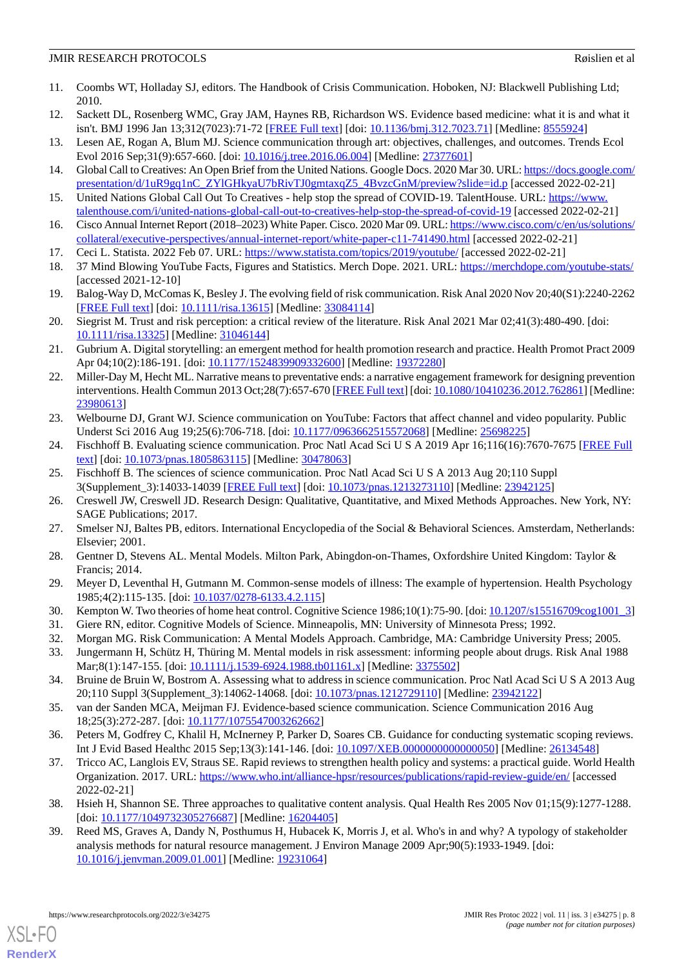- <span id="page-7-0"></span>11. Coombs WT, Holladay SJ, editors. The Handbook of Crisis Communication. Hoboken, NJ: Blackwell Publishing Ltd; 2010.
- <span id="page-7-2"></span><span id="page-7-1"></span>12. Sackett DL, Rosenberg WMC, Gray JAM, Haynes RB, Richardson WS. Evidence based medicine: what it is and what it isn't. BMJ 1996 Jan 13;312(7023):71-72 [\[FREE Full text\]](http://europepmc.org/abstract/MED/8555924) [doi: [10.1136/bmj.312.7023.71](http://dx.doi.org/10.1136/bmj.312.7023.71)] [Medline: [8555924](http://www.ncbi.nlm.nih.gov/entrez/query.fcgi?cmd=Retrieve&db=PubMed&list_uids=8555924&dopt=Abstract)]
- <span id="page-7-3"></span>13. Lesen AE, Rogan A, Blum MJ. Science communication through art: objectives, challenges, and outcomes. Trends Ecol Evol 2016 Sep;31(9):657-660. [doi: [10.1016/j.tree.2016.06.004](http://dx.doi.org/10.1016/j.tree.2016.06.004)] [Medline: [27377601\]](http://www.ncbi.nlm.nih.gov/entrez/query.fcgi?cmd=Retrieve&db=PubMed&list_uids=27377601&dopt=Abstract)
- <span id="page-7-4"></span>14. Global Call to Creatives: An Open Brief from the United Nations. Google Docs. 2020 Mar 30. URL: [https://docs.google.com/](https://docs.google.com/presentation/d/1uR9gq1nC_ZYlGHkyaU7bRivTJ0gmtaxqZ5_4BvzcGnM/preview?slide=id.p) [presentation/d/1uR9gq1nC\\_ZYlGHkyaU7bRivTJ0gmtaxqZ5\\_4BvzcGnM/preview?slide=id.p](https://docs.google.com/presentation/d/1uR9gq1nC_ZYlGHkyaU7bRivTJ0gmtaxqZ5_4BvzcGnM/preview?slide=id.p) [accessed 2022-02-21]
- <span id="page-7-5"></span>15. United Nations Global Call Out To Creatives - help stop the spread of COVID-19. TalentHouse. URL: [https://www.](https://www.talenthouse.com/i/united-nations-global-call-out-to-creatives-help-stop-the-spread-of-covid-19) [talenthouse.com/i/united-nations-global-call-out-to-creatives-help-stop-the-spread-of-covid-19](https://www.talenthouse.com/i/united-nations-global-call-out-to-creatives-help-stop-the-spread-of-covid-19) [accessed 2022-02-21]
- <span id="page-7-6"></span>16. Cisco Annual Internet Report (2018–2023) White Paper. Cisco. 2020 Mar 09. URL: [https://www.cisco.com/c/en/us/solutions/](https://www.cisco.com/c/en/us/solutions/collateral/executive-perspectives/annual-internet-report/white-paper-c11-741490.html) [collateral/executive-perspectives/annual-internet-report/white-paper-c11-741490.html](https://www.cisco.com/c/en/us/solutions/collateral/executive-perspectives/annual-internet-report/white-paper-c11-741490.html) [accessed 2022-02-21]
- <span id="page-7-7"></span>17. Ceci L. Statista. 2022 Feb 07. URL:<https://www.statista.com/topics/2019/youtube/> [accessed 2022-02-21]
- <span id="page-7-8"></span>18. 37 Mind Blowing YouTube Facts, Figures and Statistics. Merch Dope. 2021. URL: <https://merchdope.com/youtube-stats/> [accessed 2021-12-10]
- <span id="page-7-9"></span>19. Balog-Way D, McComas K, Besley J. The evolving field of risk communication. Risk Anal 2020 Nov 20;40(S1):2240-2262 [[FREE Full text](http://europepmc.org/abstract/MED/33084114)] [doi: [10.1111/risa.13615\]](http://dx.doi.org/10.1111/risa.13615) [Medline: [33084114](http://www.ncbi.nlm.nih.gov/entrez/query.fcgi?cmd=Retrieve&db=PubMed&list_uids=33084114&dopt=Abstract)]
- <span id="page-7-10"></span>20. Siegrist M. Trust and risk perception: a critical review of the literature. Risk Anal 2021 Mar 02;41(3):480-490. [doi: [10.1111/risa.13325\]](http://dx.doi.org/10.1111/risa.13325) [Medline: [31046144\]](http://www.ncbi.nlm.nih.gov/entrez/query.fcgi?cmd=Retrieve&db=PubMed&list_uids=31046144&dopt=Abstract)
- <span id="page-7-11"></span>21. Gubrium A. Digital storytelling: an emergent method for health promotion research and practice. Health Promot Pract 2009 Apr 04;10(2):186-191. [doi: [10.1177/1524839909332600\]](http://dx.doi.org/10.1177/1524839909332600) [Medline: [19372280\]](http://www.ncbi.nlm.nih.gov/entrez/query.fcgi?cmd=Retrieve&db=PubMed&list_uids=19372280&dopt=Abstract)
- <span id="page-7-12"></span>22. Miller-Day M, Hecht ML. Narrative means to preventative ends: a narrative engagement framework for designing prevention interventions. Health Commun 2013 Oct;28(7):657-670 [[FREE Full text\]](http://europepmc.org/abstract/MED/23980613) [doi: [10.1080/10410236.2012.762861](http://dx.doi.org/10.1080/10410236.2012.762861)] [Medline: [23980613](http://www.ncbi.nlm.nih.gov/entrez/query.fcgi?cmd=Retrieve&db=PubMed&list_uids=23980613&dopt=Abstract)]
- <span id="page-7-14"></span><span id="page-7-13"></span>23. Welbourne DJ, Grant WJ. Science communication on YouTube: Factors that affect channel and video popularity. Public Underst Sci 2016 Aug 19;25(6):706-718. [doi: [10.1177/0963662515572068](http://dx.doi.org/10.1177/0963662515572068)] [Medline: [25698225](http://www.ncbi.nlm.nih.gov/entrez/query.fcgi?cmd=Retrieve&db=PubMed&list_uids=25698225&dopt=Abstract)]
- <span id="page-7-15"></span>24. Fischhoff B. Evaluating science communication. Proc Natl Acad Sci U S A 2019 Apr 16;116(16):7670-7675 [\[FREE Full](http://www.pnas.org/cgi/pmidlookup?view=long&pmid=30478063) [text](http://www.pnas.org/cgi/pmidlookup?view=long&pmid=30478063)] [doi: [10.1073/pnas.1805863115\]](http://dx.doi.org/10.1073/pnas.1805863115) [Medline: [30478063](http://www.ncbi.nlm.nih.gov/entrez/query.fcgi?cmd=Retrieve&db=PubMed&list_uids=30478063&dopt=Abstract)]
- <span id="page-7-16"></span>25. Fischhoff B. The sciences of science communication. Proc Natl Acad Sci U S A 2013 Aug 20;110 Suppl 3(Supplement\_3):14033-14039 [[FREE Full text](http://www.pnas.org/cgi/pmidlookup?view=long&pmid=23942125)] [doi: [10.1073/pnas.1213273110\]](http://dx.doi.org/10.1073/pnas.1213273110) [Medline: [23942125](http://www.ncbi.nlm.nih.gov/entrez/query.fcgi?cmd=Retrieve&db=PubMed&list_uids=23942125&dopt=Abstract)]
- <span id="page-7-17"></span>26. Creswell JW, Creswell JD. Research Design: Qualitative, Quantitative, and Mixed Methods Approaches. New York, NY: SAGE Publications; 2017.
- <span id="page-7-18"></span>27. Smelser NJ, Baltes PB, editors. International Encyclopedia of the Social & Behavioral Sciences. Amsterdam, Netherlands: Elsevier; 2001.
- <span id="page-7-20"></span><span id="page-7-19"></span>28. Gentner D, Stevens AL. Mental Models. Milton Park, Abingdon-on-Thames, Oxfordshire United Kingdom: Taylor & Francis; 2014.
- <span id="page-7-22"></span><span id="page-7-21"></span>29. Meyer D, Leventhal H, Gutmann M. Common-sense models of illness: The example of hypertension. Health Psychology 1985;4(2):115-135. [doi: [10.1037/0278-6133.4.2.115\]](http://dx.doi.org/10.1037/0278-6133.4.2.115)
- <span id="page-7-23"></span>30. Kempton W. Two theories of home heat control. Cognitive Science 1986;10(1):75-90. [doi: [10.1207/s15516709cog1001\\_3](http://dx.doi.org/10.1207/s15516709cog1001_3)]
- 31. Giere RN, editor. Cognitive Models of Science. Minneapolis, MN: University of Minnesota Press; 1992.
- <span id="page-7-24"></span>32. Morgan MG. Risk Communication: A Mental Models Approach. Cambridge, MA: Cambridge University Press; 2005.
- <span id="page-7-25"></span>33. Jungermann H, Schütz H, Thüring M. Mental models in risk assessment: informing people about drugs. Risk Anal 1988 Mar;8(1):147-155. [doi: [10.1111/j.1539-6924.1988.tb01161.x](http://dx.doi.org/10.1111/j.1539-6924.1988.tb01161.x)] [Medline: [3375502](http://www.ncbi.nlm.nih.gov/entrez/query.fcgi?cmd=Retrieve&db=PubMed&list_uids=3375502&dopt=Abstract)]
- <span id="page-7-26"></span>34. Bruine de Bruin W, Bostrom A. Assessing what to address in science communication. Proc Natl Acad Sci U S A 2013 Aug 20;110 Suppl 3(Supplement\_3):14062-14068. [doi: [10.1073/pnas.1212729110\]](http://dx.doi.org/10.1073/pnas.1212729110) [Medline: [23942122](http://www.ncbi.nlm.nih.gov/entrez/query.fcgi?cmd=Retrieve&db=PubMed&list_uids=23942122&dopt=Abstract)]
- 35. van der Sanden MCA, Meijman FJ. Evidence-based science communication. Science Communication 2016 Aug 18;25(3):272-287. [doi: [10.1177/1075547003262662\]](http://dx.doi.org/10.1177/1075547003262662)
- <span id="page-7-28"></span><span id="page-7-27"></span>36. Peters M, Godfrey C, Khalil H, McInerney P, Parker D, Soares CB. Guidance for conducting systematic scoping reviews. Int J Evid Based Healthc 2015 Sep;13(3):141-146. [doi: [10.1097/XEB.0000000000000050\]](http://dx.doi.org/10.1097/XEB.0000000000000050) [Medline: [26134548](http://www.ncbi.nlm.nih.gov/entrez/query.fcgi?cmd=Retrieve&db=PubMed&list_uids=26134548&dopt=Abstract)]
- 37. Tricco AC, Langlois EV, Straus SE. Rapid reviews to strengthen health policy and systems: a practical guide. World Health Organization. 2017. URL: <https://www.who.int/alliance-hpsr/resources/publications/rapid-review-guide/en/> [accessed 2022-02-21]
- 38. Hsieh H, Shannon SE. Three approaches to qualitative content analysis. Qual Health Res 2005 Nov 01;15(9):1277-1288. [doi: [10.1177/1049732305276687](http://dx.doi.org/10.1177/1049732305276687)] [Medline: [16204405\]](http://www.ncbi.nlm.nih.gov/entrez/query.fcgi?cmd=Retrieve&db=PubMed&list_uids=16204405&dopt=Abstract)
- 39. Reed MS, Graves A, Dandy N, Posthumus H, Hubacek K, Morris J, et al. Who's in and why? A typology of stakeholder analysis methods for natural resource management. J Environ Manage 2009 Apr;90(5):1933-1949. [doi: [10.1016/j.jenvman.2009.01.001\]](http://dx.doi.org/10.1016/j.jenvman.2009.01.001) [Medline: [19231064](http://www.ncbi.nlm.nih.gov/entrez/query.fcgi?cmd=Retrieve&db=PubMed&list_uids=19231064&dopt=Abstract)]

[XSL](http://www.w3.org/Style/XSL)•FO **[RenderX](http://www.renderx.com/)**